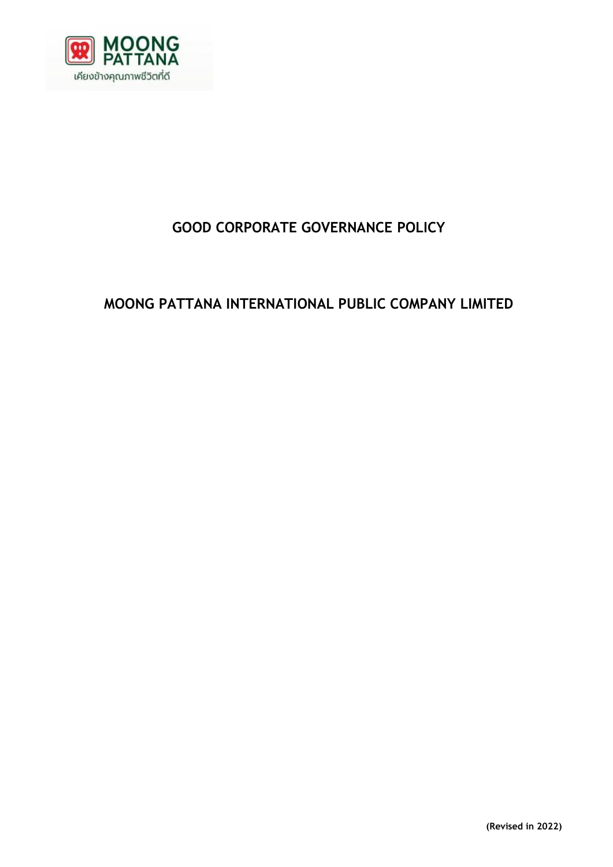

# **GOOD CORPORATE GOVERNANCE POLICY**

# **MOONG PATTANA INTERNATIONAL PUBLIC COMPANY LIMITED**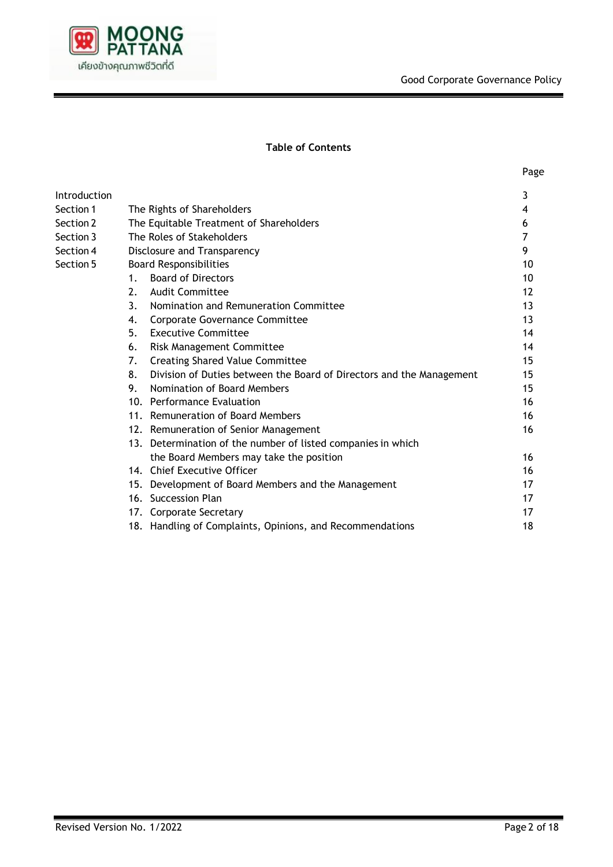

## **Table of Contents**

| v<br>×<br>× |
|-------------|
|-------------|

| Introduction |                               |                                                                      | 3  |  |
|--------------|-------------------------------|----------------------------------------------------------------------|----|--|
| Section 1    | The Rights of Shareholders    |                                                                      |    |  |
| Section 2    |                               | The Equitable Treatment of Shareholders                              |    |  |
| Section 3    | The Roles of Stakeholders     |                                                                      |    |  |
| Section 4    |                               | Disclosure and Transparency                                          |    |  |
| Section 5    | <b>Board Responsibilities</b> |                                                                      |    |  |
|              | $1_{\odot}$                   | <b>Board of Directors</b>                                            | 10 |  |
|              | 2.                            | <b>Audit Committee</b>                                               | 12 |  |
|              | 3.                            | Nomination and Remuneration Committee                                | 13 |  |
|              | 4.                            | <b>Corporate Governance Committee</b>                                | 13 |  |
|              | 5.                            | <b>Executive Committee</b>                                           | 14 |  |
|              | 6.                            | Risk Management Committee                                            | 14 |  |
|              | 7.                            | <b>Creating Shared Value Committee</b>                               | 15 |  |
|              | 8.                            | Division of Duties between the Board of Directors and the Management | 15 |  |
|              | 9.                            | Nomination of Board Members                                          | 15 |  |
|              |                               | 10. Performance Evaluation                                           | 16 |  |
|              |                               | 11. Remuneration of Board Members                                    | 16 |  |
|              |                               | 12. Remuneration of Senior Management                                | 16 |  |
|              |                               | 13. Determination of the number of listed companies in which         |    |  |
|              |                               | the Board Members may take the position                              | 16 |  |
|              |                               | 14. Chief Executive Officer                                          | 16 |  |
|              |                               | 15. Development of Board Members and the Management                  | 17 |  |
|              |                               | 16. Succession Plan                                                  | 17 |  |
|              |                               | 17. Corporate Secretary                                              | 17 |  |
|              |                               | 18. Handling of Complaints, Opinions, and Recommendations            | 18 |  |
|              |                               |                                                                      |    |  |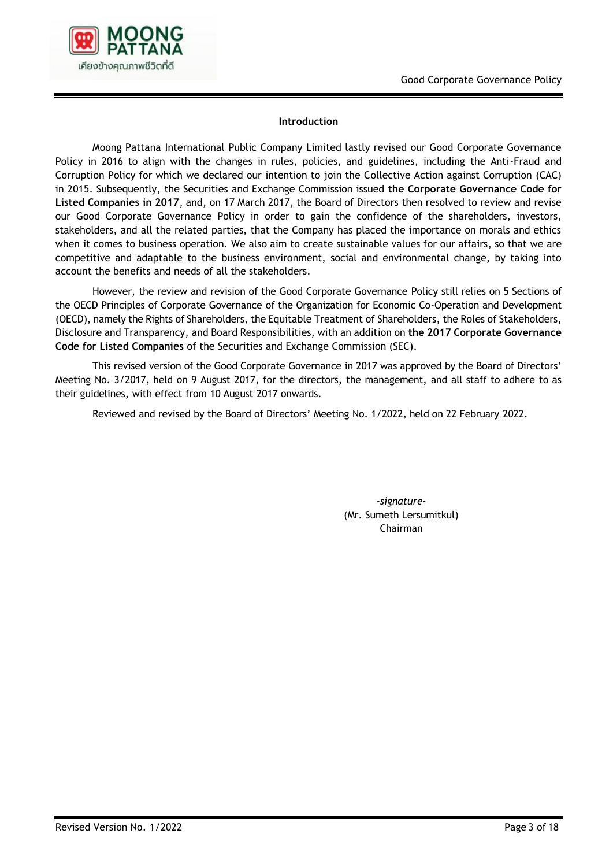

#### **Introduction**

Moong Pattana International Public Company Limited lastly revised our Good Corporate Governance Policy in 2016 to align with the changes in rules, policies, and guidelines, including the Anti-Fraud and Corruption Policy for which we declared our intention to join the Collective Action against Corruption (CAC) in 2015. Subsequently, the Securities and Exchange Commission issued **the Corporate Governance Code for Listed Companies in 2017**, and, on 17 March 2017, the Board of Directors then resolved to review and revise our Good Corporate Governance Policy in order to gain the confidence of the shareholders, investors, stakeholders, and all the related parties, that the Company has placed the importance on morals and ethics when it comes to business operation. We also aim to create sustainable values for our affairs, so that we are competitive and adaptable to the business environment, social and environmental change, by taking into account the benefits and needs of all the stakeholders.

However, the review and revision of the Good Corporate Governance Policy still relies on 5 Sections of the OECD Principles of Corporate Governance of the Organization for Economic Co-Operation and Development (OECD), namely the Rights of Shareholders, the Equitable Treatment of Shareholders, the Roles of Stakeholders, Disclosure and Transparency, and Board Responsibilities, with an addition on **the 2017 Corporate Governance Code for Listed Companies** of the Securities and Exchange Commission (SEC).

This revised version of the Good Corporate Governance in 2017 was approved by the Board of Directors' Meeting No. 3/2017, held on 9 August 2017, for the directors, the management, and all staff to adhere to as their guidelines, with effect from 10 August 2017 onwards.

Reviewed and revised by the Board of Directors' Meeting No. 1/2022, held on 22 February 2022.

*-signature-* (Mr. Sumeth Lersumitkul) Chairman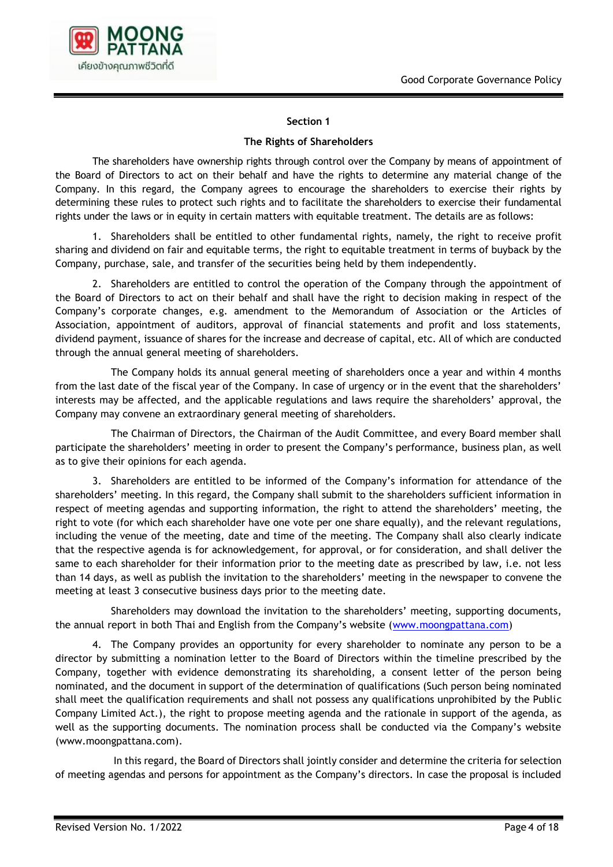

## **The Rights of Shareholders**

The shareholders have ownership rights through control over the Company by means of appointment of the Board of Directors to act on their behalf and have the rights to determine any material change of the Company. In this regard, the Company agrees to encourage the shareholders to exercise their rights by determining these rules to protect such rights and to facilitate the shareholders to exercise their fundamental rights under the laws or in equity in certain matters with equitable treatment. The details are as follows:

1. Shareholders shall be entitled to other fundamental rights, namely, the right to receive profit sharing and dividend on fair and equitable terms, the right to equitable treatment in terms of buyback by the Company, purchase, sale, and transfer of the securities being held by them independently.

2. Shareholders are entitled to control the operation of the Company through the appointment of the Board of Directors to act on their behalf and shall have the right to decision making in respect of the Company's corporate changes, e.g. amendment to the Memorandum of Association or the Articles of Association, appointment of auditors, approval of financial statements and profit and loss statements, dividend payment, issuance of shares for the increase and decrease of capital, etc. All of which are conducted through the annual general meeting of shareholders.

The Company holds its annual general meeting of shareholders once a year and within 4 months from the last date of the fiscal year of the Company. In case of urgency or in the event that the shareholders' interests may be affected, and the applicable regulations and laws require the shareholders' approval, the Company may convene an extraordinary general meeting of shareholders.

The Chairman of Directors, the Chairman of the Audit Committee, and every Board member shall participate the shareholders' meeting in order to present the Company's performance, business plan, as well as to give their opinions for each agenda.

3. Shareholders are entitled to be informed of the Company's information for attendance of the shareholders' meeting. In this regard, the Company shall submit to the shareholders sufficient information in respect of meeting agendas and supporting information, the right to attend the shareholders' meeting, the right to vote (for which each shareholder have one vote per one share equally), and the relevant regulations, including the venue of the meeting, date and time of the meeting. The Company shall also clearly indicate that the respective agenda is for acknowledgement, for approval, or for consideration, and shall deliver the same to each shareholder for their information prior to the meeting date as prescribed by law, i.e. not less than 14 days, as well as publish the invitation to the shareholders' meeting in the newspaper to convene the meeting at least 3 consecutive business days prior to the meeting date.

Shareholders may download the invitation to the shareholders' meeting, supporting documents, the annual report in both Thai and English from the Company's website ([www.moongpattana.com\)](http://www.moongpattana.com/)

4. The Company provides an opportunity for every shareholder to nominate any person to be a director by submitting a nomination letter to the Board of Directors within the timeline prescribed by the Company, together with evidence demonstrating its shareholding, a consent letter of the person being nominated, and the document in support of the determination of qualifications (Such person being nominated shall meet the qualification requirements and shall not possess any qualifications unprohibited by the Public Company Limited Act.), the right to propose meeting agenda and the rationale in support of the agenda, as well as the supporting documents. The nomination process shall be conducted via the Company's website (www.moongpattana.com).

In this regard, the Board of Directors shall jointly consider and determine the criteria for selection of meeting agendas and persons for appointment as the Company's directors. In case the proposal is included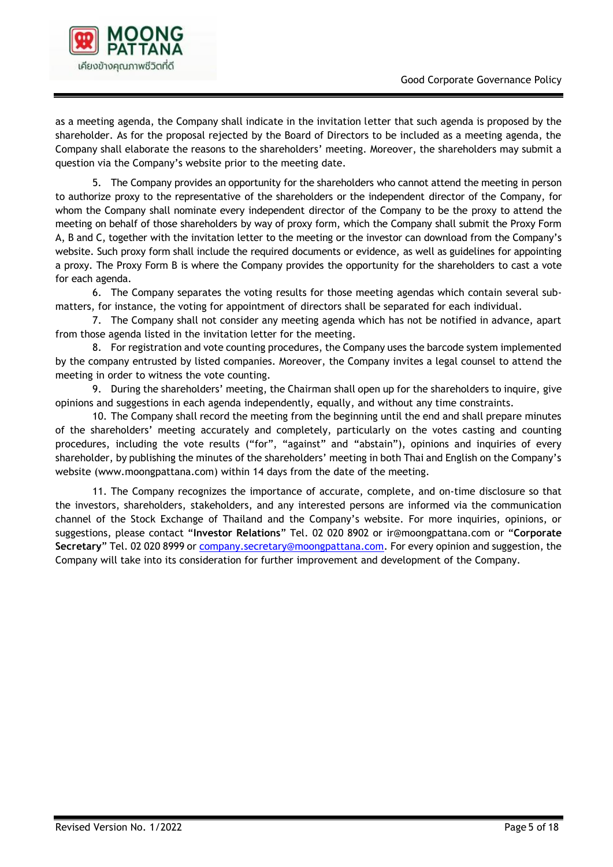

as a meeting agenda, the Company shall indicate in the invitation letter that such agenda is proposed by the shareholder. As for the proposal rejected by the Board of Directors to be included as a meeting agenda, the Company shall elaborate the reasons to the shareholders' meeting. Moreover, the shareholders may submit a question via the Company's website prior to the meeting date.

5. The Company provides an opportunity for the shareholders who cannot attend the meeting in person to authorize proxy to the representative of the shareholders or the independent director of the Company, for whom the Company shall nominate every independent director of the Company to be the proxy to attend the meeting on behalf of those shareholders by way of proxy form, which the Company shall submit the Proxy Form A, B and C, together with the invitation letter to the meeting or the investor can download from the Company's website. Such proxy form shall include the required documents or evidence, as well as guidelines for appointing a proxy. The Proxy Form B is where the Company provides the opportunity for the shareholders to cast a vote for each agenda.

6. The Company separates the voting results for those meeting agendas which contain several submatters, for instance, the voting for appointment of directors shall be separated for each individual.

7. The Company shall not consider any meeting agenda which has not be notified in advance, apart from those agenda listed in the invitation letter for the meeting.

8. For registration and vote counting procedures, the Company uses the barcode system implemented by the company entrusted by listed companies. Moreover, the Company invites a legal counsel to attend the meeting in order to witness the vote counting.

9. During the shareholders' meeting, the Chairman shall open up for the shareholders to inquire, give opinions and suggestions in each agenda independently, equally, and without any time constraints.

10. The Company shall record the meeting from the beginning until the end and shall prepare minutes of the shareholders' meeting accurately and completely, particularly on the votes casting and counting procedures, including the vote results ("for", "against" and "abstain"), opinions and inquiries of every shareholder, by publishing the minutes of the shareholders' meeting in both Thai and English on the Company's website [\(www.moongpattana.com\)](http://www.moongpattana.com/) within 14 days from the date of the meeting.

11. The Company recognizes the importance of accurate, complete, and on-time disclosure so that the investors, shareholders, stakeholders, and any interested persons are informed via the communication channel of the Stock Exchange of Thailand and the Company's website. For more inquiries, opinions, or suggestions, please contact "**Investor Relations**" Tel. 02 020 8902 or [ir@moongpattana.com](mailto:ir@moongpattana.com) or "**Corporate Secretary**" Tel. 02 020 8999 or [company.secretary@moongpattana.com.](mailto:company.secretary@moongpattana.com) For every opinion and suggestion, the Company will take into its consideration for further improvement and development of the Company.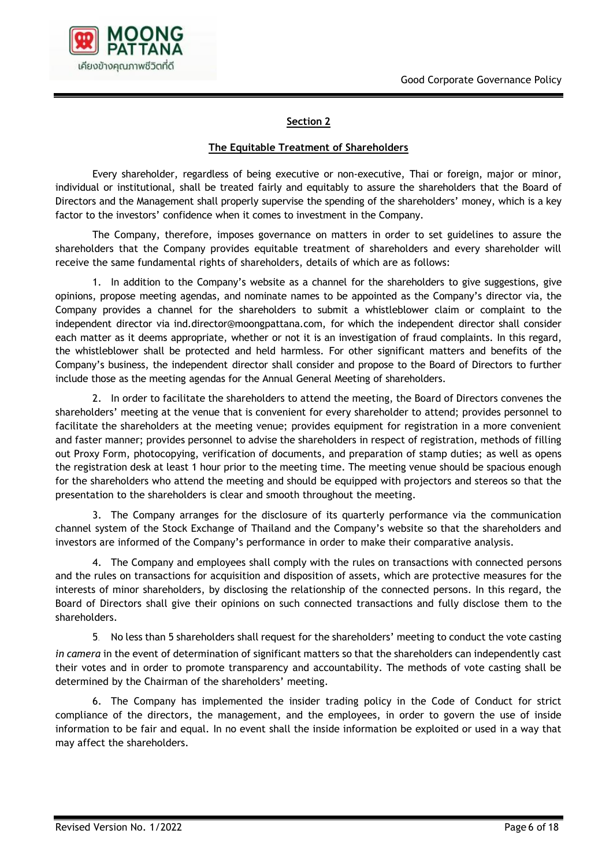

#### **The Equitable Treatment of Shareholders**

Every shareholder, regardless of being executive or non-executive, Thai or foreign, major or minor, individual or institutional, shall be treated fairly and equitably to assure the shareholders that the Board of Directors and the Management shall properly supervise the spending of the shareholders' money, which is a key factor to the investors' confidence when it comes to investment in the Company.

The Company, therefore, imposes governance on matters in order to set guidelines to assure the shareholders that the Company provides equitable treatment of shareholders and every shareholder will receive the same fundamental rights of shareholders, details of which are as follows:

1. In addition to the Company's website as a channel for the shareholders to give suggestions, give opinions, propose meeting agendas, and nominate names to be appointed as the Company's director via, the Company provides a channel for the shareholders to submit a whistleblower claim or complaint to the independent director via ind.director@moongpattana.com, for which the independent director shall consider each matter as it deems appropriate, whether or not it is an investigation of fraud complaints. In this regard, the whistleblower shall be protected and held harmless. For other significant matters and benefits of the Company's business, the independent director shall consider and propose to the Board of Directors to further include those as the meeting agendas for the Annual General Meeting of shareholders.

2. In order to facilitate the shareholders to attend the meeting, the Board of Directors convenes the shareholders' meeting at the venue that is convenient for every shareholder to attend; provides personnel to facilitate the shareholders at the meeting venue; provides equipment for registration in a more convenient and faster manner; provides personnel to advise the shareholders in respect of registration, methods of filling out Proxy Form, photocopying, verification of documents, and preparation of stamp duties; as well as opens the registration desk at least 1 hour prior to the meeting time. The meeting venue should be spacious enough for the shareholders who attend the meeting and should be equipped with projectors and stereos so that the presentation to the shareholders is clear and smooth throughout the meeting.

3. The Company arranges for the disclosure of its quarterly performance via the communication channel system of the Stock Exchange of Thailand and the Company's website so that the shareholders and investors are informed of the Company's performance in order to make their comparative analysis.

4. The Company and employees shall comply with the rules on transactions with connected persons and the rules on transactions for acquisition and disposition of assets, which are protective measures for the interests of minor shareholders, by disclosing the relationship of the connected persons. In this regard, the Board of Directors shall give their opinions on such connected transactions and fully disclose them to the shareholders.

5. No less than 5 shareholders shall request for the shareholders' meeting to conduct the vote casting *in camera* in the event of determination of significant matters so that the shareholders can independently cast their votes and in order to promote transparency and accountability. The methods of vote casting shall be determined by the Chairman of the shareholders' meeting.

6. The Company has implemented the insider trading policy in the Code of Conduct for strict compliance of the directors, the management, and the employees, in order to govern the use of inside information to be fair and equal. In no event shall the inside information be exploited or used in a way that may affect the shareholders.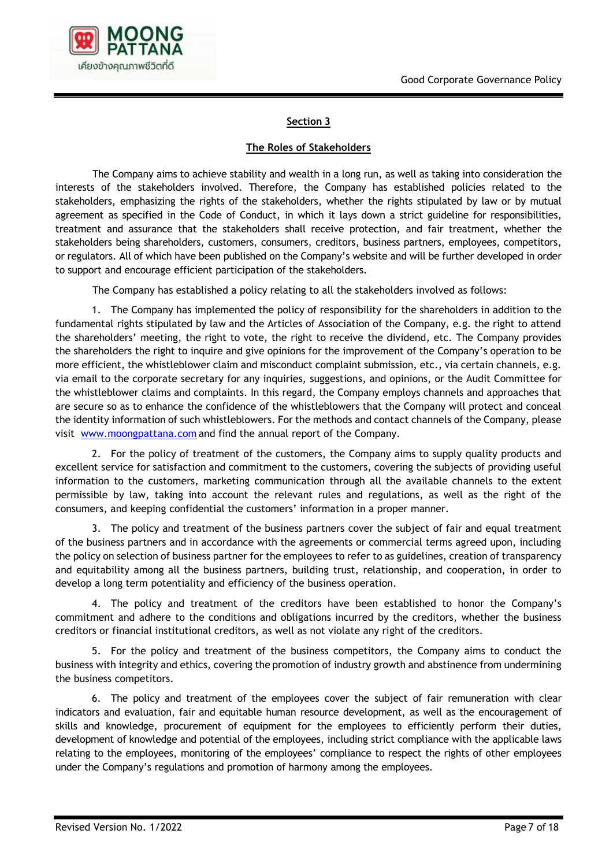

#### **The Roles of Stakeholders**

The Company aims to achieve stability and wealth in a long run, as well as taking into consideration the interests of the stakeholders involved. Therefore, the Company has established policies related to the stakeholders, emphasizing the rights of the stakeholders, whether the rights stipulated by law or by mutual agreement as specified in the Code of Conduct, in which it lays down a strict guideline for responsibilities, treatment and assurance that the stakeholders shall receive protection, and fair treatment, whether the stakeholders being shareholders, customers, consumers, creditors, business partners, employees, competitors, or regulators. All of which have been published on the Company's website and will be further developed in order to support and encourage efficient participation of the stakeholders.

The Company has established a policy relating to all the stakeholders involved as follows:

1. The Company has implemented the policy of responsibility for the shareholders in addition to the fundamental rights stipulated by law and the Articles of Association of the Company, e.g. the right to attend the shareholders' meeting, the right to vote, the right to receive the dividend, etc. The Company provides the shareholders the right to inquire and give opinions for the improvement of the Company's operation to be more efficient, the whistleblower claim and misconduct complaint submission, etc., via certain channels, e.g. via email to the corporate secretary for any inquiries, suggestions, and opinions, or the Audit Committee for the whistleblower claims and complaints. In this regard, the Company employs channels and approaches that are secure so as to enhance the confidence of the whistleblowers that the Company will protect and conceal the identity information of such whistleblowers. For the methods and contact channels of the Company, please visit [www.moongpattana.com](http://www.moongpattana.com/) and find the annual report of the Company.

2. For the policy of treatment of the customers, the Company aims to supply quality products and excellent service for satisfaction and commitment to the customers, covering the subjects of providing useful information to the customers, marketing communication through all the available channels to the extent permissible by law, taking into account the relevant rules and regulations, as well as the right of the consumers, and keeping confidential the customers' information in a proper manner.

3. The policy and treatment of the business partners cover the subject of fair and equal treatment of the business partners and in accordance with the agreements or commercial terms agreed upon, including the policy on selection of business partner for the employees to refer to as guidelines, creation of transparency and equitability among all the business partners, building trust, relationship, and cooperation, in order to develop a long term potentiality and efficiency of the business operation.

4. The policy and treatment of the creditors have been established to honor the Company's commitment and adhere to the conditions and obligations incurred by the creditors, whether the business creditors or financial institutional creditors, as well as not violate any right of the creditors.

5. For the policy and treatment of the business competitors, the Company aims to conduct the business with integrity and ethics, covering the promotion of industry growth and abstinence from undermining the business competitors.

6. The policy and treatment of the employees cover the subject of fair remuneration with clear indicators and evaluation, fair and equitable human resource development, as well as the encouragement of skills and knowledge, procurement of equipment for the employees to efficiently perform their duties, development of knowledge and potential of the employees, including strict compliance with the applicable laws relating to the employees, monitoring of the employees' compliance to respect the rights of other employees under the Company's regulations and promotion of harmony among the employees.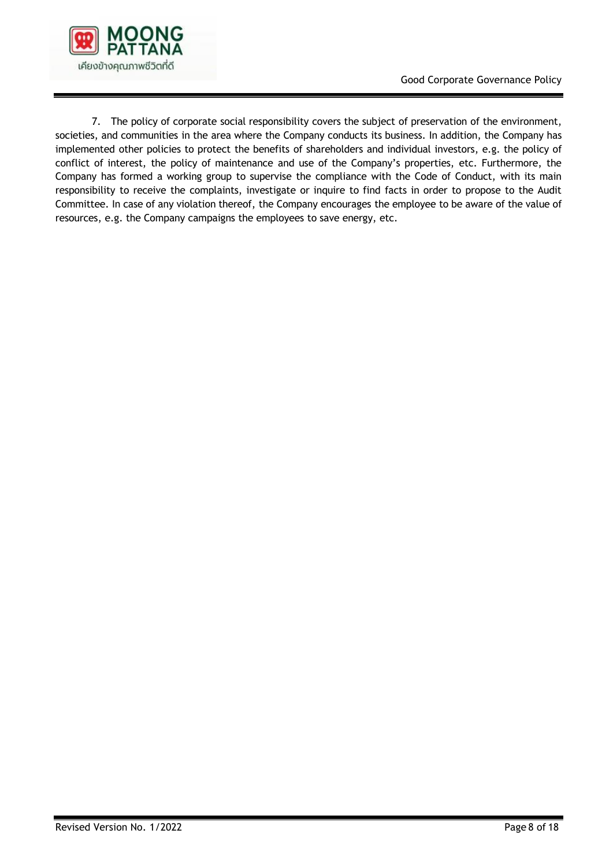

7. The policy of corporate social responsibility covers the subject of preservation of the environment, societies, and communities in the area where the Company conducts its business. In addition, the Company has implemented other policies to protect the benefits of shareholders and individual investors, e.g. the policy of conflict of interest, the policy of maintenance and use of the Company's properties, etc. Furthermore, the Company has formed a working group to supervise the compliance with the Code of Conduct, with its main responsibility to receive the complaints, investigate or inquire to find facts in order to propose to the Audit Committee. In case of any violation thereof, the Company encourages the employee to be aware of the value of resources, e.g. the Company campaigns the employees to save energy, etc.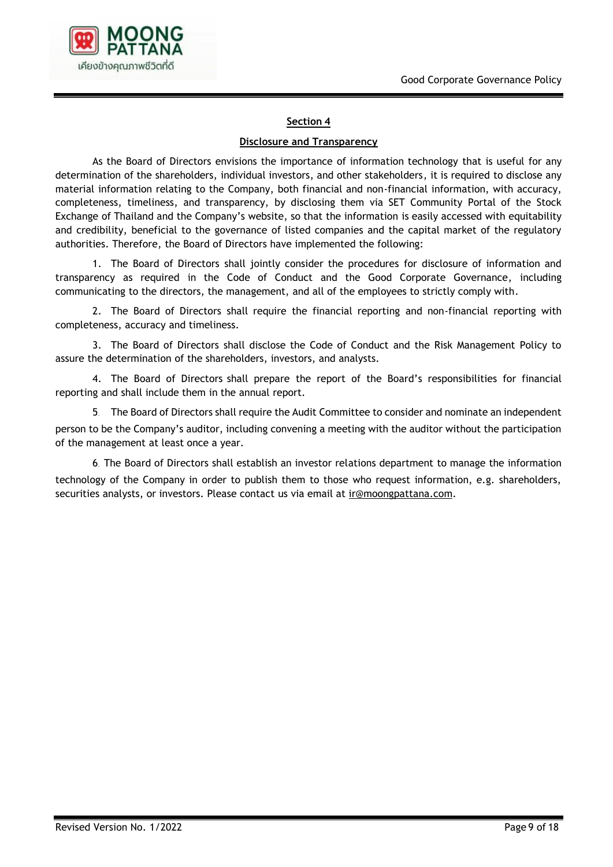

#### **Disclosure and Transparency**

As the Board of Directors envisions the importance of information technology that is useful for any determination of the shareholders, individual investors, and other stakeholders, it is required to disclose any material information relating to the Company, both financial and non-financial information, with accuracy, completeness, timeliness, and transparency, by disclosing them via SET Community Portal of the Stock Exchange of Thailand and the Company's website, so that the information is easily accessed with equitability and credibility, beneficial to the governance of listed companies and the capital market of the regulatory authorities. Therefore, the Board of Directors have implemented the following:

1. The Board of Directors shall jointly consider the procedures for disclosure of information and transparency as required in the Code of Conduct and the Good Corporate Governance, including communicating to the directors, the management, and all of the employees to strictly comply with.

2. The Board of Directors shall require the financial reporting and non-financial reporting with completeness, accuracy and timeliness.

3. The Board of Directors shall disclose the Code of Conduct and the Risk Management Policy to assure the determination of the shareholders, investors, and analysts.

4. The Board of Directors shall prepare the report of the Board's responsibilities for financial reporting and shall include them in the annual report.

5. The Board of Directors shall require the Audit Committee to consider and nominate an independent person to be the Company's auditor, including convening a meeting with the auditor without the participation of the management at least once a year.

6. The Board of Directors shall establish an investor relations department to manage the information technology of the Company in order to publish them to those who request information, e.g. shareholders, securities analysts, or investors. Please contact us via email at [ir@moongpattana.com.](mailto:ir@moongpattana.com)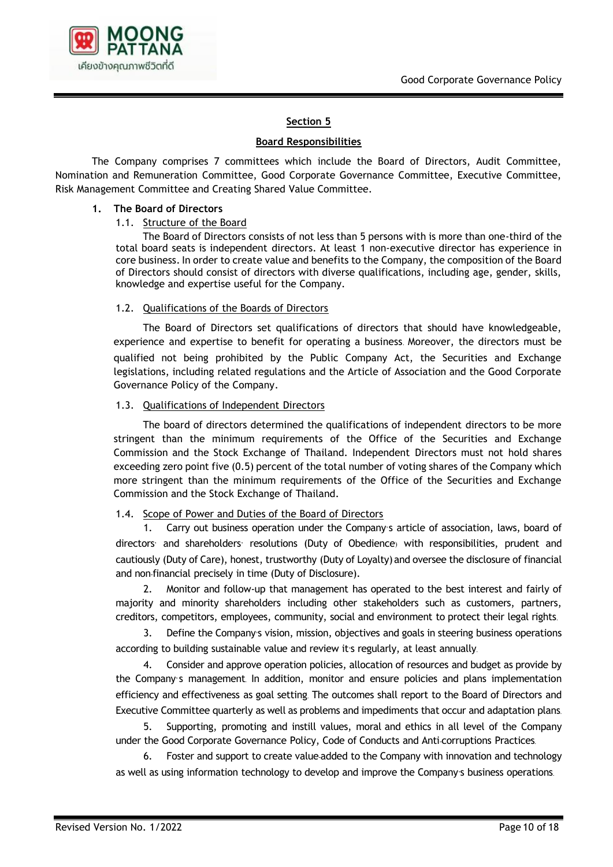

#### **Board Responsibilities**

The Company comprises 7 committees which include the Board of Directors, Audit Committee, Nomination and Remuneration Committee, Good Corporate Governance Committee, Executive Committee, Risk Management Committee and Creating Shared Value Committee.

#### **1. The Board of Directors**

#### 1.1. Structure of the Board

The Board of Directors consists of not less than 5 persons with is more than one-third of the total board seats is independent directors. At least 1 non-executive director has experience in core business. In order to create value and benefits to the Company, the composition of the Board of Directors should consist of directors with diverse qualifications, including age, gender, skills, knowledge and expertise useful for the Company.

#### 1.2. Qualifications of the Boards of Directors

The Board of Directors set qualifications of directors that should have knowledgeable, experience and expertise to benefit for operating a business. Moreover, the directors must be qualified not being prohibited by the Public Company Act, the Securities and Exchange legislations, including related regulations and the Article of Association and the Good Corporate Governance Policy of the Company.

#### 1.3. Qualifications of Independent Directors

The board of directors determined the qualifications of independent directors to be more stringent than the minimum requirements of the Office of the Securities and Exchange Commission and the Stock Exchange of Thailand. Independent Directors must not hold shares exceeding zero point five (0.5) percent of the total number of voting shares of the Company which more stringent than the minimum requirements of the Office of the Securities and Exchange Commission and the Stock Exchange of Thailand.

## 1.4. Scope of Power and Duties of the Board of Directors

1. Carry out business operation under the Company's article of association, laws, board of directors' and shareholders' resolutions (Duty of Obedience) with responsibilities, prudent and cautiously (Duty of Care), honest, trustworthy (Duty of Loyalty)and oversee the disclosure of financial and non-financial precisely in time (Duty of Disclosure).

2. Monitor and follow-up that management has operated to the best interest and fairly of majority and minority shareholders including other stakeholders such as customers, partners, creditors, competitors, employees, community, social and environment to protect their legal rights.

3. Define the Company's vision, mission, objectives and goals in steering business operations according to building sustainable value and review it's regularly, at least annually.

4. Consider and approve operation policies, allocation of resources and budget as provide by the Company' s management. In addition, monitor and ensure policies and plans implementation efficiency and effectiveness as goal setting. The outcomes shall report to the Board of Directors and Executive Committee quarterly as well as problems and impediments that occur and adaptation plans.

5. Supporting, promoting and instill values, moral and ethics in all level of the Company under the Good Corporate Governance Policy, Code of Conducts and Anti-corruptions Practices.

6. Foster and support to create value-added to the Company with innovation and technology as well as using information technology to develop and improve the Company's business operations.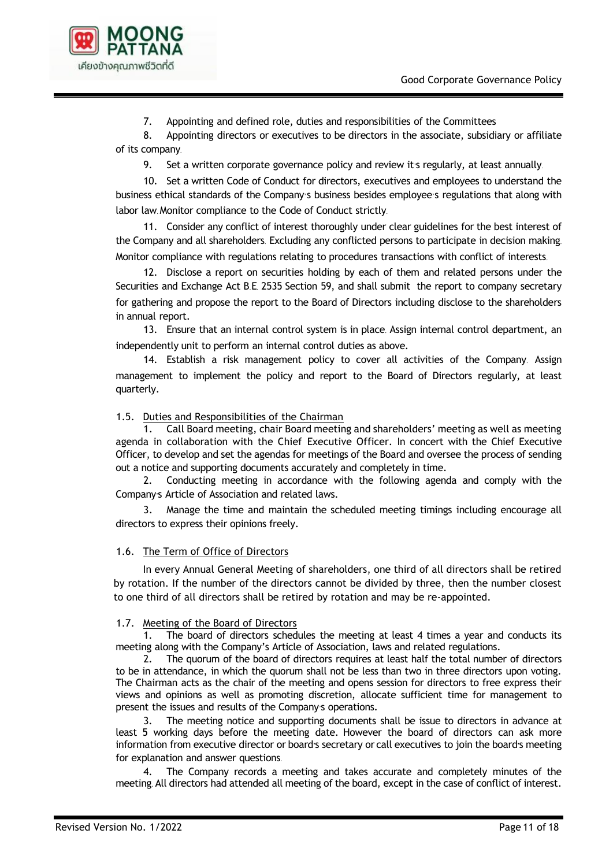

7. Appointing and defined role, duties and responsibilities of the Committees

8. Appointing directors or executives to be directors in the associate, subsidiary or affiliate of its company.

9. Set a written corporate governance policy and review it's regularly, at least annually.

10. Set a written Code of Conduct for directors, executives and employees to understand the business ethical standards of the Company's business besides employee's regulations that along with labor law. Monitor compliance to the Code of Conduct strictly.

11. Consider any conflict of interest thoroughly under clear guidelines for the best interest of the Company and all shareholders. Excluding any conflicted persons to participate in decision making. Monitor compliance with regulations relating to procedures transactions with conflict of interests.

12. Disclose a report on securities holding by each of them and related persons under the Securities and Exchange Act B.E. 2535 Section 59, and shall submit the report to company secretary for gathering and propose the report to the Board of Directors including disclose to the shareholders in annual report.

13. Ensure that an internal control system is in place. Assign internal control department, an independently unit to perform an internal control duties as above.

14. Establish a risk management policy to cover all activities of the Company. Assign management to implement the policy and report to the Board of Directors regularly, at least quarterly.

1.5. Duties and Responsibilities of the Chairman

1. Call Board meeting, chair Board meeting and shareholders' meeting as well as meeting agenda in collaboration with the Chief Executive Officer. In concert with the Chief Executive Officer, to develop and set the agendas for meetings of the Board and oversee the process of sending out a notice and supporting documents accurately and completely in time.

2. Conducting meeting in accordance with the following agenda and comply with the Company's Article of Association and related laws.

3. Manage the time and maintain the scheduled meeting timings including encourage all directors to express their opinions freely.

# 1.6. The Term of Office of Directors

In every Annual General Meeting of shareholders, one third of all directors shall be retired by rotation. If the number of the directors cannot be divided by three, then the number closest to one third of all directors shall be retired by rotation and may be re-appointed.

## 1.7. Meeting of the Board of Directors

The board of directors schedules the meeting at least 4 times a year and conducts its meeting along with the Company's Article of Association, laws and related regulations.

2. The quorum of the board of directors requires at least half the total number of directors to be in attendance, in which the quorum shall not be less than two in three directors upon voting. The Chairman acts as the chair of the meeting and opens session for directors to free express their views and opinions as well as promoting discretion, allocate sufficient time for management to present the issues and results of the Company's operations.

3. The meeting notice and supporting documents shall be issue to directors in advance at least 5 working days before the meeting date. However the board of directors can ask more information from executive director or board's secretary or call executives to join the board's meeting for explanation and answer questions.

4. The Company records a meeting and takes accurate and completely minutes of the meeting. All directors had attended all meeting of the board, except in the case of conflict of interest.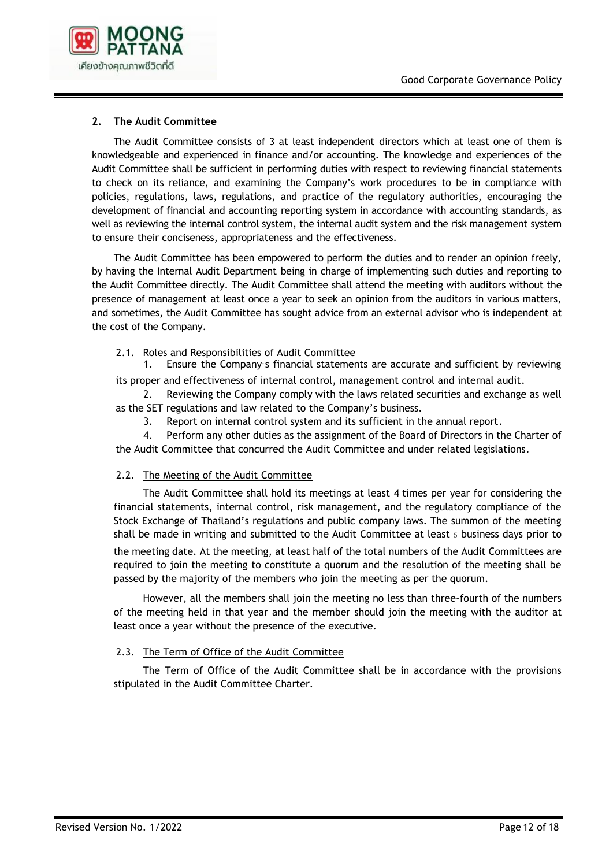

# **2. The Audit Committee**

The Audit Committee consists of 3 at least independent directors which at least one of them is knowledgeable and experienced in finance and/or accounting. The knowledge and experiences of the Audit Committee shall be sufficient in performing duties with respect to reviewing financial statements to check on its reliance, and examining the Company's work procedures to be in compliance with policies, regulations, laws, regulations, and practice of the regulatory authorities, encouraging the development of financial and accounting reporting system in accordance with accounting standards, as well as reviewing the internal control system, the internal audit system and the risk management system to ensure their conciseness, appropriateness and the effectiveness.

The Audit Committee has been empowered to perform the duties and to render an opinion freely, by having the Internal Audit Department being in charge of implementing such duties and reporting to the Audit Committee directly. The Audit Committee shall attend the meeting with auditors without the presence of management at least once a year to seek an opinion from the auditors in various matters, and sometimes, the Audit Committee has sought advice from an external advisor who is independent at the cost of the Company.

## 2.1. Roles and Responsibilities of Audit Committee

1. Ensure the Company's financial statements are accurate and sufficient by reviewing its proper and effectiveness of internal control, management control and internal audit.

2. Reviewing the Company comply with the laws related securities and exchange as well as the SET regulations and law related to the Company's business.

3. Report on internal control system and its sufficient in the annual report.

4. Perform any other duties as the assignment of the Board of Directors in the Charter of the Audit Committee that concurred the Audit Committee and under related legislations.

## 2.2. The Meeting of the Audit Committee

The Audit Committee shall hold its meetings at least 4 times per year for considering the financial statements, internal control, risk management, and the regulatory compliance of the Stock Exchange of Thailand's regulations and public company laws. The summon of the meeting shall be made in writing and submitted to the Audit Committee at least  $5$  business days prior to the meeting date. At the meeting, at least half of the total numbers of the Audit Committees are required to join the meeting to constitute a quorum and the resolution of the meeting shall be passed by the majority of the members who join the meeting as per the quorum.

However, all the members shall join the meeting no less than three-fourth of the numbers of the meeting held in that year and the member should join the meeting with the auditor at least once a year without the presence of the executive.

## 2.3. The Term of Office of the Audit Committee

The Term of Office of the Audit Committee shall be in accordance with the provisions stipulated in the Audit Committee Charter.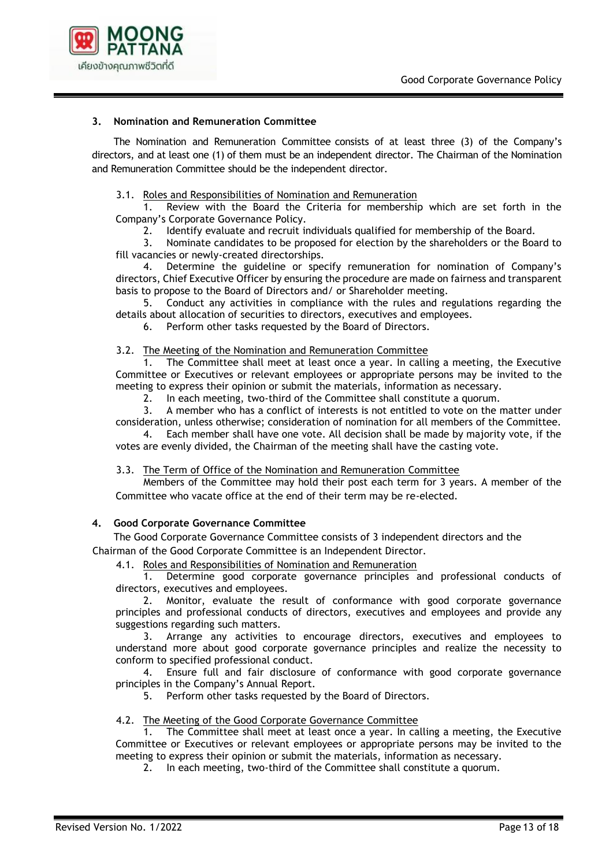

#### **3. Nomination and Remuneration Committee**

The Nomination and Remuneration Committee consists of at least three (3) of the Company's directors, and at least one (1) of them must be an independent director. The Chairman of the Nomination and Remuneration Committee should be the independent director.

#### 3.1. Roles and Responsibilities of Nomination and Remuneration

1. Review with the Board the Criteria for membership which are set forth in the Company's Corporate Governance Policy.

2. Identify evaluate and recruit individuals qualified for membership of the Board.

3. Nominate candidates to be proposed for election by the shareholders or the Board to fill vacancies or newly-created directorships.

4. Determine the guideline or specify remuneration for nomination of Company's directors, Chief Executive Officer by ensuring the procedure are made on fairness and transparent basis to propose to the Board of Directors and/ or Shareholder meeting.

5. Conduct any activities in compliance with the rules and regulations regarding the details about allocation of securities to directors, executives and employees.

6. Perform other tasks requested by the Board of Directors.

#### 3.2. The Meeting of the Nomination and Remuneration Committee

1. The Committee shall meet at least once a year. In calling a meeting, the Executive Committee or Executives or relevant employees or appropriate persons may be invited to the meeting to express their opinion or submit the materials, information as necessary.

2. In each meeting, two-third of the Committee shall constitute a quorum.

3. A member who has a conflict of interests is not entitled to vote on the matter under consideration, unless otherwise; consideration of nomination for all members of the Committee.

4. Each member shall have one vote. All decision shall be made by majority vote, if the votes are evenly divided, the Chairman of the meeting shall have the casting vote.

## 3.3. The Term of Office of the Nomination and Remuneration Committee

Members of the Committee may hold their post each term for 3 years. A member of the Committee who vacate office at the end of their term may be re-elected.

#### **4. Good Corporate Governance Committee**

The Good Corporate Governance Committee consists of 3 independent directors and the Chairman of the Good Corporate Committee is an Independent Director.

4.1. Roles and Responsibilities of Nomination and Remuneration

1. Determine good corporate governance principles and professional conducts of directors, executives and employees.

2. Monitor, evaluate the result of conformance with good corporate governance principles and professional conducts of directors, executives and employees and provide any suggestions regarding such matters.

3. Arrange any activities to encourage directors, executives and employees to understand more about good corporate governance principles and realize the necessity to conform to specified professional conduct.

4. Ensure full and fair disclosure of conformance with good corporate governance principles in the Company's Annual Report.

5. Perform other tasks requested by the Board of Directors.

#### 4.2. The Meeting of the Good Corporate Governance Committee

1. The Committee shall meet at least once a year. In calling a meeting, the Executive Committee or Executives or relevant employees or appropriate persons may be invited to the meeting to express their opinion or submit the materials, information as necessary.

2. In each meeting, two-third of the Committee shall constitute a quorum.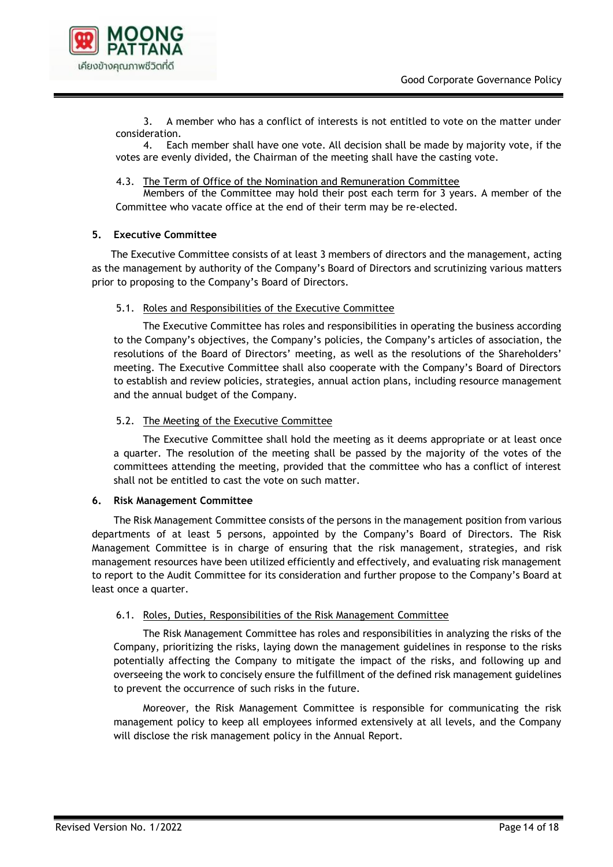

3. A member who has a conflict of interests is not entitled to vote on the matter under consideration.

4. Each member shall have one vote. All decision shall be made by majority vote, if the votes are evenly divided, the Chairman of the meeting shall have the casting vote.

#### 4.3. The Term of Office of the Nomination and Remuneration Committee

Members of the Committee may hold their post each term for 3 years. A member of the Committee who vacate office at the end of their term may be re-elected.

#### **5. Executive Committee**

The Executive Committee consists of at least 3 members of directors and the management, acting as the management by authority of the Company's Board of Directors and scrutinizing various matters prior to proposing to the Company's Board of Directors.

#### 5.1. Roles and Responsibilities of the Executive Committee

The Executive Committee has roles and responsibilities in operating the business according to the Company's objectives, the Company's policies, the Company's articles of association, the resolutions of the Board of Directors' meeting, as well as the resolutions of the Shareholders' meeting. The Executive Committee shall also cooperate with the Company's Board of Directors to establish and review policies, strategies, annual action plans, including resource management and the annual budget of the Company.

#### 5.2. The Meeting of the Executive Committee

The Executive Committee shall hold the meeting as it deems appropriate or at least once a quarter. The resolution of the meeting shall be passed by the majority of the votes of the committees attending the meeting, provided that the committee who has a conflict of interest shall not be entitled to cast the vote on such matter.

## **6. Risk Management Committee**

The Risk Management Committee consists of the persons in the management position from various departments of at least 5 persons, appointed by the Company's Board of Directors. The Risk Management Committee is in charge of ensuring that the risk management, strategies, and risk management resources have been utilized efficiently and effectively, and evaluating risk management to report to the Audit Committee for its consideration and further propose to the Company's Board at least once a quarter.

## 6.1. Roles, Duties, Responsibilities of the Risk Management Committee

The Risk Management Committee has roles and responsibilities in analyzing the risks of the Company, prioritizing the risks, laying down the management guidelines in response to the risks potentially affecting the Company to mitigate the impact of the risks, and following up and overseeing the work to concisely ensure the fulfillment of the defined risk management guidelines to prevent the occurrence of such risks in the future.

Moreover, the Risk Management Committee is responsible for communicating the risk management policy to keep all employees informed extensively at all levels, and the Company will disclose the risk management policy in the Annual Report.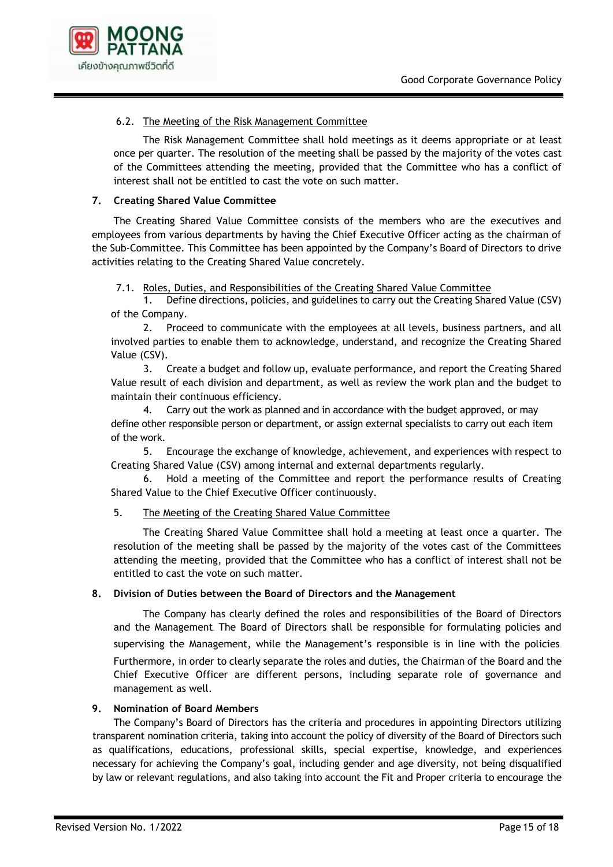

# 6.2. The Meeting of the Risk Management Committee

The Risk Management Committee shall hold meetings as it deems appropriate or at least once per quarter. The resolution of the meeting shall be passed by the majority of the votes cast of the Committees attending the meeting, provided that the Committee who has a conflict of interest shall not be entitled to cast the vote on such matter.

## **7. Creating Shared Value Committee**

The Creating Shared Value Committee consists of the members who are the executives and employees from various departments by having the Chief Executive Officer acting as the chairman of the Sub-Committee. This Committee has been appointed by the Company's Board of Directors to drive activities relating to the Creating Shared Value concretely.

# 7.1. Roles, Duties, and Responsibilities of the Creating Shared Value Committee

1. Define directions, policies, and guidelines to carry out the Creating Shared Value (CSV) of the Company.

2. Proceed to communicate with the employees at all levels, business partners, and all involved parties to enable them to acknowledge, understand, and recognize the Creating Shared Value (CSV).

3. Create a budget and follow up, evaluate performance, and report the Creating Shared Value result of each division and department, as well as review the work plan and the budget to maintain their continuous efficiency.

Carry out the work as planned and in accordance with the budget approved, or may define other responsible person or department, or assign external specialists to carry out each item of the work.

5. Encourage the exchange of knowledge, achievement, and experiences with respect to Creating Shared Value (CSV) among internal and external departments regularly.

6. Hold a meeting of the Committee and report the performance results of Creating Shared Value to the Chief Executive Officer continuously.

# 5. The Meeting of the Creating Shared Value Committee

The Creating Shared Value Committee shall hold a meeting at least once a quarter. The resolution of the meeting shall be passed by the majority of the votes cast of the Committees attending the meeting, provided that the Committee who has a conflict of interest shall not be entitled to cast the vote on such matter.

## **8. Division of Duties between the Board of Directors and the Management**

The Company has clearly defined the roles and responsibilities of the Board of Directors and the Management. The Board of Directors shall be responsible for formulating policies and supervising the Management, while the Management's responsible is in line with the policies. Furthermore, in order to clearly separate the roles and duties, the Chairman of the Board and the Chief Executive Officer are different persons, including separate role of governance and management as well.

## **9. Nomination of Board Members**

The Company's Board of Directors has the criteria and procedures in appointing Directors utilizing transparent nomination criteria, taking into account the policy of diversity of the Board of Directors such as qualifications, educations, professional skills, special expertise, knowledge, and experiences necessary for achieving the Company's goal, including gender and age diversity, not being disqualified by law or relevant regulations, and also taking into account the Fit and Proper criteria to encourage the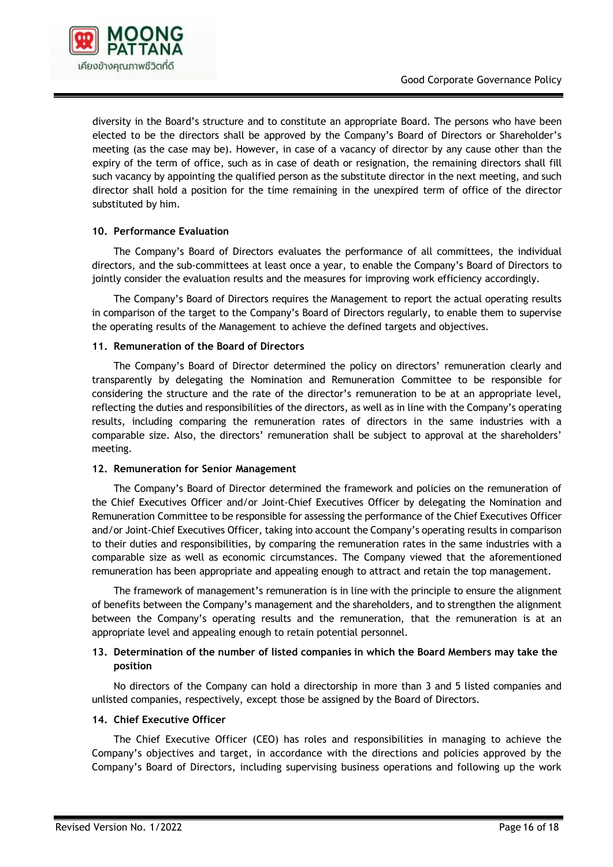

diversity in the Board's structure and to constitute an appropriate Board. The persons who have been elected to be the directors shall be approved by the Company's Board of Directors or Shareholder's meeting (as the case may be). However, in case of a vacancy of director by any cause other than the expiry of the term of office, such as in case of death or resignation, the remaining directors shall fill such vacancy by appointing the qualified person as the substitute director in the next meeting, and such director shall hold a position for the time remaining in the unexpired term of office of the director substituted by him.

## **10. Performance Evaluation**

The Company's Board of Directors evaluates the performance of all committees, the individual directors, and the sub-committees at least once a year, to enable the Company's Board of Directors to jointly consider the evaluation results and the measures for improving work efficiency accordingly.

The Company's Board of Directors requires the Management to report the actual operating results in comparison of the target to the Company's Board of Directors regularly, to enable them to supervise the operating results of the Management to achieve the defined targets and objectives.

## **11. Remuneration of the Board of Directors**

The Company's Board of Director determined the policy on directors' remuneration clearly and transparently by delegating the Nomination and Remuneration Committee to be responsible for considering the structure and the rate of the director's remuneration to be at an appropriate level, reflecting the duties and responsibilities of the directors, as well as in line with the Company's operating results, including comparing the remuneration rates of directors in the same industries with a comparable size. Also, the directors' remuneration shall be subject to approval at the shareholders' meeting.

## **12. Remuneration for Senior Management**

The Company's Board of Director determined the framework and policies on the remuneration of the Chief Executives Officer and/or Joint-Chief Executives Officer by delegating the Nomination and Remuneration Committee to be responsible for assessing the performance of the Chief Executives Officer and/or Joint-Chief Executives Officer, taking into account the Company's operating results in comparison to their duties and responsibilities, by comparing the remuneration rates in the same industries with a comparable size as well as economic circumstances. The Company viewed that the aforementioned remuneration has been appropriate and appealing enough to attract and retain the top management.

The framework of management's remuneration is in line with the principle to ensure the alignment of benefits between the Company's management and the shareholders, and to strengthen the alignment between the Company's operating results and the remuneration, that the remuneration is at an appropriate level and appealing enough to retain potential personnel.

## **13. Determination of the number of listed companies in which the Board Members may take the position**

No directors of the Company can hold a directorship in more than 3 and 5 listed companies and unlisted companies, respectively, except those be assigned by the Board of Directors.

## **14. Chief Executive Officer**

The Chief Executive Officer (CEO) has roles and responsibilities in managing to achieve the Company's objectives and target, in accordance with the directions and policies approved by the Company's Board of Directors, including supervising business operations and following up the work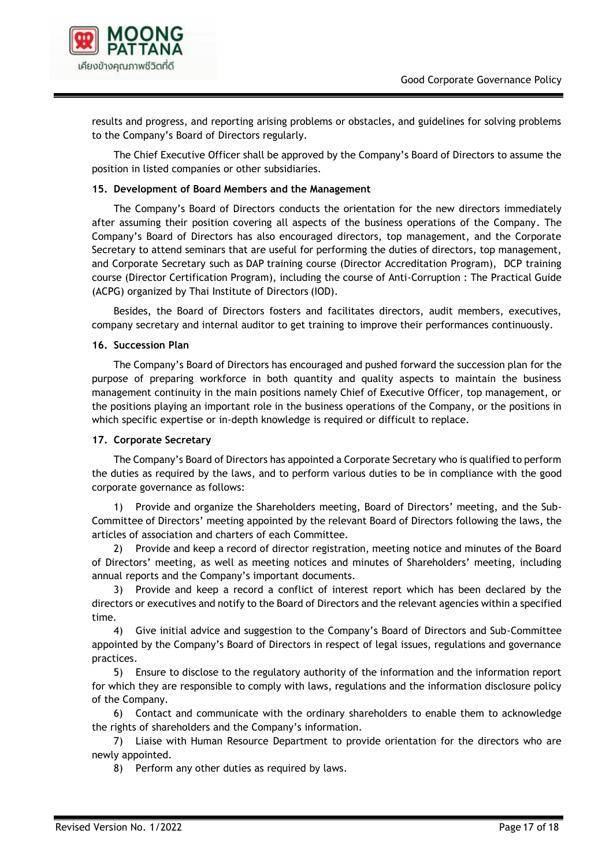

results and progress, and reporting arising problems or obstacles, and guidelines for solving problems to the Company's Board of Directors regularly.

The Chief Executive Officer shall be approved by the Company's Board of Directors to assume the position in listed companies or other subsidiaries.

#### **15. Development of Board Members and the Management**

The Company's Board of Directors conducts the orientation for the new directors immediately after assuming their position covering all aspects of the business operations of the Company. The Company's Board of Directors has also encouraged directors, top management, and the Corporate Secretary to attend seminars that are useful for performing the duties of directors, top management, and Corporate Secretary such as DAP training course (Director Accreditation Program), DCP training course (Director Certification Program), including the course of Anti-Corruption : The Practical Guide (ACPG) organized by Thai Institute of Directors (IOD).

Besides, the Board of Directors fosters and facilitates directors, audit members, executives, company secretary and internal auditor to get training to improve their performances continuously.

#### **16. Succession Plan**

The Company's Board of Directors has encouraged and pushed forward the succession plan for the purpose of preparing workforce in both quantity and quality aspects to maintain the business management continuity in the main positions namely Chief of Executive Officer, top management, or the positions playing an important role in the business operations of the Company, or the positions in which specific expertise or in-depth knowledge is required or difficult to replace.

## **17. Corporate Secretary**

The Company's Board of Directors has appointed a Corporate Secretary who is qualified to perform the duties as required by the laws, and to perform various duties to be in compliance with the good corporate governance as follows:

1) Provide and organize the Shareholders meeting, Board of Directors' meeting, and the Sub-Committee of Directors' meeting appointed by the relevant Board of Directors following the laws, the articles of association and charters of each Committee.

2) Provide and keep a record of director registration, meeting notice and minutes of the Board of Directors' meeting, as well as meeting notices and minutes of Shareholders' meeting, including annual reports and the Company's important documents.

3) Provide and keep a record a conflict of interest report which has been declared by the directors or executives and notify to the Board of Directors and the relevant agencies within a specified time.

4) Give initial advice and suggestion to the Company's Board of Directors and Sub-Committee appointed by the Company's Board of Directors in respect of legal issues, regulations and governance practices.

5) Ensure to disclose to the regulatory authority of the information and the information report for which they are responsible to comply with laws, regulations and the information disclosure policy of the Company.

6) Contact and communicate with the ordinary shareholders to enable them to acknowledge the rights of shareholders and the Company's information.

7) Liaise with Human Resource Department to provide orientation for the directors who are newly appointed.

8) Perform any other duties as required by laws.